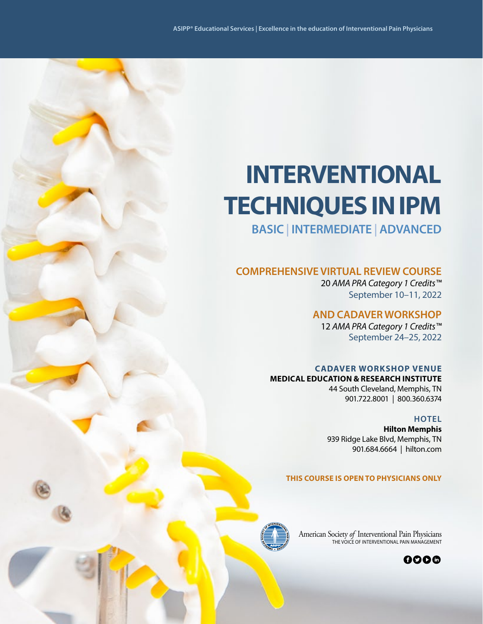# **INTERVENTIONAL TECHNIQUES IN IPM**

**BASIC | INTERMEDIATE | ADVANCED**

## **COMPREHENSIVE VIRTUAL REVIEW COURSE**

20 *AMA PRA Category 1 Credits™* September 10–11, 2022

## **AND CADAVER WORKSHOP**

12 *AMA PRA Category 1 Credits™* September 24–25, 2022

## **CADAVER WORKSHOP VENUE**

**MEDICAL EDUCATION & RESEARCH INSTITUTE** 44 South Cleveland, Memphis, TN

### **HOTEL**

**Hilton Memphis** 939 Ridge Lake Blvd, Memphis, TN 901.684.6664 | hilton.com

901.722.8001 | 800.360.6374

### **THIS COURSE IS OPEN TO PHYSICIANS ONLY**



American Society *of* Interventional Pain Physicians THE VOICE OF INTERVENTIONAL PAIN MANAGEMENT

0006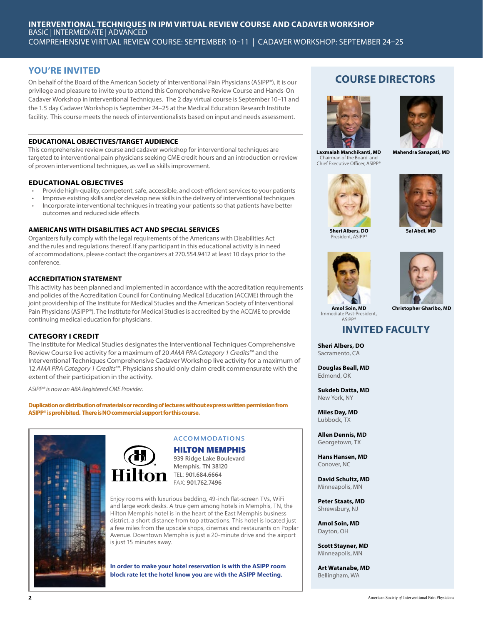## **YOU'RE INVITED**

On behalf of the Board of the American Society of Interventional Pain Physicians (ASIPP®), it is our privilege and pleasure to invite you to attend this Comprehensive Review Course and Hands-On Cadaver Workshop in Interventional Techniques. The 2 day virtual course is September 10–11 and the 1.5 day Cadaver Workshop is September 24–25 at the Medical Education Research Institute facility. This course meets the needs of interventionalists based on input and needs assessment.

### **EDUCATIONAL OBJECTIVES/TARGET AUDIENCE**

This comprehensive review course and cadaver workshop for interventional techniques are targeted to interventional pain physicians seeking CME credit hours and an introduction or review of proven interventional techniques, as well as skills improvement.

### **EDUCATIONAL OBJECTIVES**

- Provide high-quality, competent, safe, accessible, and cost-efficient services to your patients
- Improve existing skills and/or develop new skills in the delivery of interventional techniques • Incorporate interventional techniques in treating your patients so that patients have better
- outcomes and reduced side effects

### **AMERICANS WITH DISABILITIES ACT AND SPECIAL SERVICES**

Organizers fully comply with the legal requirements of the Americans with Disabilities Act and the rules and regulations thereof. If any participant in this educational activity is in need of accommodations, please contact the organizers at 270.554.9412 at least 10 days prior to the conference.

### **ACCREDITATION STATEMENT**

This activity has been planned and implemented in accordance with the accreditation requirements and policies of the Accreditation Council for Continuing Medical Education (ACCME) through the joint providership of The Institute for Medical Studies and the American Society of Interventional Pain Physicians (ASIPP®). The Institute for Medical Studies is accredited by the ACCME to provide continuing medical education for physicians.

### **CATEGORY I CREDIT**

The Institute for Medical Studies designates the Interventional Techniques Comprehensive Review Course live activity for a maximum of 20 *AMA PRA Category 1 Credits™* and the Interventional Techniques Comprehensive Cadaver Workshop live activity for a maximum of 12 *AMA PRA Category 1 Credits™*. Physicians should only claim credit commensurate with the extent of their participation in the activity.

*ASIPP® is now an ABA Registered CME Provider.*

**Duplication or distribution of materials or recording of lectures without express written permission from ASIPP® is prohibited. There is NO commercial support for this course.**



## **ACCOMMODATIONS**

HILTON MEMPHIS **939 Ridge Lake Boulevard**

**Memphis, TN 38120 On** TEL: 901.684.6664 FAX: **901.762.7496** 

Enjoy rooms with luxurious bedding, 49-inch flat-screen TVs, WiFi and large work desks. A true gem among hotels in Memphis, TN, the Hilton Memphis hotel is in the heart of the East Memphis business district, a short distance from top attractions. This hotel is located just a few miles from the upscale shops, cinemas and restaurants on Poplar Avenue. Downtown Memphis is just a 20-minute drive and the airport is just 15 minutes away.

**In order to make your hotel reservation is with the ASIPP room block rate let the hotel know you are with the ASIPP Meeting.**

## **COURSE DIRECTORS**



**Laxmaiah Manchikanti, MD** Chairman of the Board and Chief Executive Officer, ASIPP®



**Mahendra Sanapati, MD**





**Sheri Albers, DO** President, ASI

**Sal Abdi, MD**





**Amol Soin, MD** Immediate Past-President, ASIPP®

## **INVITED FACULTY**

**Sheri Albers, DO**  Sacramento, CA

**Douglas Beall, MD** Edmond, OK

**Sukdeb Datta, MD** New York, NY

**Miles Day, MD** Lubbock, TX

**Allen Dennis, MD** Georgetown, TX

**Hans Hansen, MD**  Conover, NC

**David Schultz, MD** Minneapolis, MN

**Peter Staats, MD** Shrewsbury, NJ

**Amol Soin, MD**  Dayton, OH

**Scott Stayner, MD**  Minneapolis, MN

**Art Watanabe, MD**  Bellingham, WA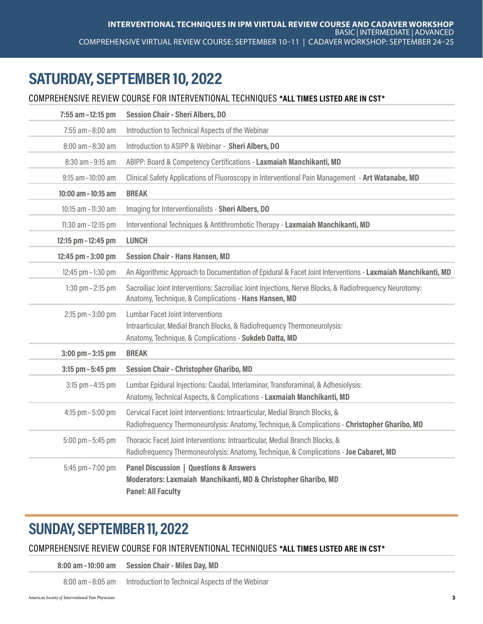## SATURDAY, SEPTEMBER 10, 2022

## COMPREHENSIVE REVIEW COURSE FOR INTERVENTIONAL TECHNIQUES \*ALL TIMES LISTED ARE IN CST\*

| 7:55 am - 12:15 pm    | <b>Session Chair - Sheri Albers, DO</b>                                                                                                                                       |
|-----------------------|-------------------------------------------------------------------------------------------------------------------------------------------------------------------------------|
| $7:55$ am $-8:00$ am  | Introduction to Technical Aspects of the Webinar                                                                                                                              |
| 8:00 am - 8:30 am     | Introduction to ASIPP & Webinar - Sheri Albers, DO                                                                                                                            |
| 8:30 am - 9:15 am     | ABIPP: Board & Competency Certifications - Laxmaiah Manchikanti, MD                                                                                                           |
| $9:15$ am $-10:00$ am | Clinical Safety Applications of Fluoroscopy in Interventional Pain Management - Art Watanabe, MD                                                                              |
| 10:00 am - 10:15 am   | <b>BREAK</b>                                                                                                                                                                  |
| 10:15 am - 11:30 am   | Imaging for Interventionalists - Sheri Albers, DO                                                                                                                             |
| 11:30 am - 12:15 pm   | Interventional Techniques & Antithrombotic Therapy - Laxmaiah Manchikanti, MD                                                                                                 |
| 12:15 pm - 12:45 pm   | <b>LUNCH</b>                                                                                                                                                                  |
| 12:45 pm - 3:00 pm    | <b>Session Chair - Hans Hansen, MD</b>                                                                                                                                        |
| 12:45 pm - 1:30 pm    | An Algorithmic Approach to Documentation of Epidural & Facet Joint Interventions - Laxmaiah Manchikanti, MD                                                                   |
| 1:30 $pm - 2:15$ pm   | Sacroiliac Joint Interventions: Sacroiliac Joint Injections, Nerve Blocks, & Radiofrequency Neurotomy:<br>Anatomy, Technique, & Complications - Hans Hansen, MD               |
| 2:15 pm - 3:00 pm     | <b>Lumbar Facet Joint Interventions</b><br>Intraarticular, Medial Branch Blocks, & Radiofrequency Thermoneurolysis:<br>Anatomy, Technique, & Complications - Sukdeb Datta, MD |
| $3:00$ pm $-3:15$ pm  | <b>BREAK</b>                                                                                                                                                                  |
| 3:15 pm - 5:45 pm     | <b>Session Chair - Christopher Gharibo, MD</b>                                                                                                                                |
| $3:15$ pm $-4:15$ pm  | Lumbar Epidural Injections: Caudal, Interlaminar, Transforaminal, & Adhesiolysis:<br>Anatomy, Technical Aspects, & Complications - Laxmaiah Manchikanti, MD                   |
| 4:15 pm $-5:00$ pm    | Cervical Facet Joint Interventions: Intraarticular, Medial Branch Blocks, &<br>Radiofrequency Thermoneurolysis: Anatomy, Technique, & Complications - Christopher Gharibo, MD |
| $5:00$ pm $-5:45$ pm  | Thoracic Facet Joint Interventions: Intraarticular, Medial Branch Blocks, &<br>Radiofrequency Thermoneurolysis: Anatomy, Technique, & Complications - Joe Cabaret, MD         |
| 5:45 pm - 7:00 pm     | <b>Panel Discussion   Questions &amp; Answers</b><br>Moderators: Laxmaiah Manchikanti, MD & Christopher Gharibo, MD<br><b>Panel: All Faculty</b>                              |

## SUNDAY, SEPTEMBER 11, 2022

## COMPREHENSIVE REVIEW COURSE FOR INTERVENTIONAL TECHNIQUES \*ALL TIMES LISTED ARE IN CST\*

8:00 am–10:00 am Session Chair - Miles Day, MD

8:00 am–8:05 am Introduction to Technical Aspects of the Webinar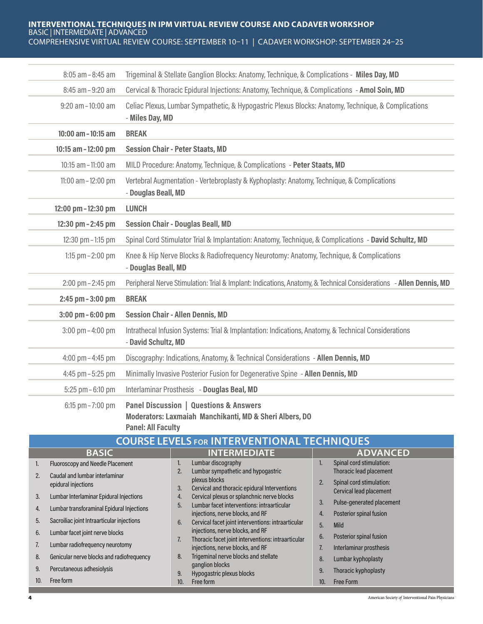### **INTERVENTIONAL TECHNIQUES IN IPM VIRTUAL REVIEW COURSE AND CADAVER WORKSHOP** BASIC | INTERMEDIATE | ADVANCED COMPREHENSIVE VIRTUAL REVIEW COURSE: SEPTEMBER 10–11 | CADAVER WORKSHOP: SEPTEMBER 24–25

| 8:05 am - 8:45 am    | Trigeminal & Stellate Ganglion Blocks: Anatomy, Technique, & Complications - Miles Day, MD                                  |
|----------------------|-----------------------------------------------------------------------------------------------------------------------------|
| 8:45 am - 9:20 am    | Cervical & Thoracic Epidural Injections: Anatomy, Technique, & Complications - Amol Soin, MD                                |
| 9:20 am-10:00 am     | Celiac Plexus, Lumbar Sympathetic, & Hypogastric Plexus Blocks: Anatomy, Technique, & Complications<br>- Miles Day, MD      |
| 10:00 am - 10:15 am  | <b>BREAK</b>                                                                                                                |
| 10:15 am - 12:00 pm  | <b>Session Chair - Peter Staats, MD</b>                                                                                     |
| 10:15 am - 11:00 am  | MILD Procedure: Anatomy, Technique, & Complications - Peter Staats, MD                                                      |
| 11:00 am - 12:00 pm  | Vertebral Augmentation - Vertebroplasty & Kyphoplasty: Anatomy, Technique, & Complications<br>- Douglas Beall, MD           |
| 12:00 pm - 12:30 pm  | <b>LUNCH</b>                                                                                                                |
| 12:30 pm - 2:45 pm   | <b>Session Chair - Douglas Beall, MD</b>                                                                                    |
| 12:30 pm - 1:15 pm   | Spinal Cord Stimulator Trial & Implantation: Anatomy, Technique, & Complications - David Schultz, MD                        |
| 1:15 $pm - 2:00$ pm  | Knee & Hip Nerve Blocks & Radiofrequency Neurotomy: Anatomy, Technique, & Complications<br>- Douglas Beall, MD              |
| 2:00 pm - 2:45 pm    | Peripheral Nerve Stimulation: Trial & Implant: Indications, Anatomy, & Technical Considerations - Allen Dennis, MD          |
| 2:45 pm - 3:00 pm    | <b>BREAK</b>                                                                                                                |
| 3:00 pm - 6:00 pm    | <b>Session Chair - Allen Dennis, MD</b>                                                                                     |
| $3:00$ pm $-4:00$ pm | Intrathecal Infusion Systems: Trial & Implantation: Indications, Anatomy, & Technical Considerations<br>- David Schultz, MD |
| 4:00 pm - 4:45 pm    | Discography: Indications, Anatomy, & Technical Considerations - Allen Dennis, MD                                            |
| 4:45 pm - 5:25 pm    | Minimally Invasive Posterior Fusion for Degenerative Spine - Allen Dennis, MD                                               |
| $5:25$ pm $-6:10$ pm | Interlaminar Prosthesis - Douglas Beal, MD                                                                                  |
| $6:15$ pm $-7:00$ pm | <b>Panel Discussion   Questions &amp; Answers</b><br>Moderators: Laxmaiah Manchikanti, MD & Sheri Albers, DO                |

Panel: All Faculty

| <b>COURSE LEVELS FOR INTERVENTIONAL TECHNIQUES</b> |                                                        |                                                                                                                                                          |  |  |
|----------------------------------------------------|--------------------------------------------------------|----------------------------------------------------------------------------------------------------------------------------------------------------------|--|--|
|                                                    | <b>INTERMEDIATE</b><br><b>ADVANCED</b><br><b>BASIC</b> |                                                                                                                                                          |  |  |
| ь.                                                 | <b>Fluoroscopy and Needle Placement</b>                | Spinal cord stimulation:<br>Lumbar discography<br>۱.<br>ъ.                                                                                               |  |  |
| 2.                                                 | Caudal and lumbar interlaminar<br>epidural injections  | Thoracic lead placement<br>Lumbar sympathetic and hypogastric<br>plexus blocks<br>Spinal cord stimulation:<br>2.                                         |  |  |
| 3.                                                 | Lumbar Interlaminar Epidural Injections                | Cervical and thoracic epidural Interventions<br>3.<br>Cervical lead placement<br>Cervical plexus or splanchnic nerve blocks<br>4.                        |  |  |
| 4.                                                 | Lumbar transforaminal Epidural Injections              | Pulse-generated placement<br>3.<br>Lumbar facet interventions: intraarticular<br>5.<br>Posterior spinal fusion<br>injections, nerve blocks, and RF<br>4. |  |  |
| 5.                                                 | Sacroiliac joint Intraarticular injections             | Cervical facet joint interventions: intraarticular<br>6.<br>5.<br><b>Mild</b>                                                                            |  |  |
| 6.                                                 | Lumbar facet joint nerve blocks                        | injections, nerve blocks, and RF<br>6.<br>Posterior spinal fusion<br>Thoracic facet joint interventions: intraarticular                                  |  |  |
| 7.                                                 | Lumbar radiofrequency neurotomy                        | injections, nerve blocks, and RF<br>7.<br>Interlaminar prosthesis                                                                                        |  |  |
| 8.                                                 | Genicular nerve blocks and radiofrequency              | Trigeminal nerve blocks and stellate<br>8.<br>8.<br>Lumbar kyphoplasty                                                                                   |  |  |
| 9.                                                 | Percutaneous adhesiolysis                              | ganglion blocks<br>Thoracic kyphoplasty<br>9.<br>Hypogastric plexus blocks<br>9.                                                                         |  |  |
| 10.                                                | Free form                                              | Free form<br>10.<br><b>Free Form</b><br>10.                                                                                                              |  |  |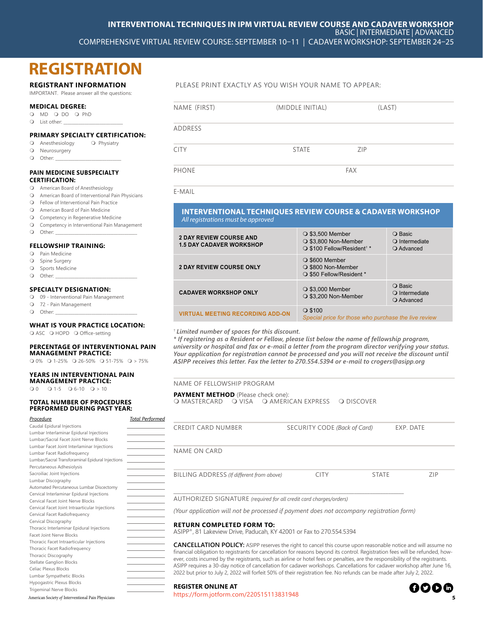## **REGISTRATION**

### **REGISTRANT INFORMATION**

IMPORTANT. Please answer all the questions:

### **MEDICAL DEGREE:**

- O MD O DO O PhD
- $Q$  List other:

### **PRIMARY SPECIALTY CERTIFICATION:**

#### Q Anesthesiology Q Physiatry

- O Neurosurgery
- $\bigcirc$  Other:

### **PAIN MEDICINE SUBSPECIALTY CERTIFICATION:**

- American Board of Anesthesiology
- American Board of Interventional Pain Physicians
- Fellow of Interventional Pain Practice
- American Board of Pain Medicine
- **Q** Competency in Regenerative Medicine
- Competency in Interventional Pain Management
- $Q$  Other:

### **FELLOWSHIP TRAINING:**

- Pain Medicine
- **Q** Spine Surgery
- O Sports Medicine
- $\Omega$  Other:

### **SPECIALTY DESIGNATION:**

- 09 Interventional Pain Management
- 72 Pain Management
- $\bigcirc$  Other:

### **WHAT IS YOUR PRACTICE LOCATION:**

O ASC O HOPD O Office-setting

#### **PERCENTAGE OF INTERVENTIONAL PAIN**

**MANAGEMENT PRACTICE:**  $Q$  0%  $Q$  1-25%  $Q$  26-50%  $Q$  51-75%  $Q > 75%$ 

### **YEARS IN INTERVENTIONAL PAIN**

**MANAGEMENT PRACTICE:**

 $Q_0 Q_1 - Q_1 - 5 Q_0 - 10 Q_1 - Q_2$ 

### **TOTAL NUMBER OF PROCEDURES PERFORMED DURING PAST YEAR:**

| Procedure                                        | <b>Total Performed</b> |
|--------------------------------------------------|------------------------|
| Caudal Epidural Injections                       |                        |
| Lumbar Interlaminar Epidural Injections          |                        |
| Lumbar/Sacral Facet Joint Nerve Blocks           |                        |
| Lumbar Facet Joint Interlaminar Injections       |                        |
| Lumbar Facet Radiofrequency                      |                        |
| Lumbar/Sacral Transforaminal Epidural Injections |                        |
| Percutaneous Adhesiolysis                        |                        |
| Sacroiliac Joint Injections                      |                        |
| Lumbar Discography                               |                        |
| Automated Percutaneous Lumbar Discectomy         |                        |
| Cervical Interlaminar Epidural Injections        |                        |
| Cervical Facet Joint Nerve Blocks                |                        |
| Cervical Facet Joint Intraarticular Injections   |                        |
| Cervical Facet Radiofrequency                    |                        |
| Cervical Discography                             |                        |
| Thoracic Interlaminar Epidural Injections        |                        |
| <b>Facet Joint Nerve Blocks</b>                  |                        |
| Thoracic Facet Intraarticular Injections         |                        |
| Thoracic Facet Radiofrequency                    |                        |
| Thoracic Discography                             |                        |
| <b>Stellate Ganglion Blocks</b>                  |                        |
| Celiac Plexus Blocks                             |                        |
| Lumbar Sympathetic Blocks                        |                        |
| Hypogastric Plexus Blocks                        |                        |
| <b>Trigeminal Nerve Blocks</b>                   |                        |

PLEASE PRINT EXACTLY AS YOU WISH YOUR NAME TO APPEAR:

| NAME (FIRST)   | (MIDDLE INITIAL) | (LAST)     |
|----------------|------------------|------------|
| <b>ADDRESS</b> |                  |            |
| <b>CITY</b>    | <b>STATE</b>     | <b>ZIP</b> |
| <b>PHONE</b>   |                  | FAX        |

E-MAIL

### **INTERVENTIONAL TECHNIQUES REVIEW COURSE & CADAVER WORKSHOP** *All registrations must be approved*

| <b>2 DAY REVIEW COURSE AND</b><br><b>1.5 DAY CADAVER WORKSHOP</b> | $\bigcirc$ \$3,500 Member<br>○ \$3,800 Non-Member<br>○ \$100 Fellow/Resident <sup>+</sup> * | ○ Basic<br>$\bigcirc$ Intermediate<br>O Advanced |
|-------------------------------------------------------------------|---------------------------------------------------------------------------------------------|--------------------------------------------------|
| <b>2 DAY REVIEW COURSE ONLY</b>                                   | $\bigcirc$ \$600 Member<br>○ \$800 Non-Member<br>○ \$50 Fellow/Resident *                   |                                                  |
| <b>CADAVER WORKSHOP ONLY</b>                                      | $\bigcirc$ \$3,000 Member<br>○ \$3,200 Non-Member                                           | ○ Basic<br>O Intermediate<br>O Advanced          |
| <b>VIRTUAL MEETING RECORDING ADD-ON</b>                           | $\bigcirc$ \$100<br>Special price for those who purchase the live review                    |                                                  |

### † *Limited number of spaces for this discount.*

*\* If registering as a Resident or Fellow, please list below the name of fellowship program, university or hospital and fax or e-mail a letter from the program director verifying your status. Your application for registration cannot be processed and you will not receive the discount until ASIPP receives this letter. Fax the letter to 270.554.5394 or e-mail to crogers@asipp.org*

### NAME OF FELLOWSHIP PROGRAM

**PAYMENT METHOD** (Please check one): O MASTERCARD Q VISA Q AMERICAN EXPRESS Q DISCOVER

| <b>CREDIT CARD NUMBER</b>                                                                                             | SECURITY CODE (Back of Card) |              | EXP. DATE |
|-----------------------------------------------------------------------------------------------------------------------|------------------------------|--------------|-----------|
| <b>NAME ON CARD</b>                                                                                                   |                              |              |           |
| BILLING ADDRESS (If different from above)                                                                             | <b>CITY</b>                  | <b>STATE</b> | ZIP       |
| AUTHORIZED SIGNATURE (required for all credit card charges/orders)                                                    |                              |              |           |
| (Your application will not be processed if payment does not accompany registration form)                              |                              |              |           |
| <b>RETURN COMPLETED FORM TO:</b><br>ASIPP®, 81 Lakeview Drive, Paducah, KY 42001 or Fax to 270.554.5394               |                              |              |           |
| $C$ ANICELLATIONI DOLICV, ACIDD uggan uga tha siabh ta sansal this sayyaa yugga ugganahla nation and will assume a na |                              |              |           |

**CANCELLATION POLICY:** ASIPP reserves the right to cancel this course upon reasonable notice and will assume no financial obligation to registrants for cancellation for reasons beyond its control. Registration fees will be refunded, however, costs incurred by the registrants, such as airline or hotel fees or penalties, are the responsibility of the registrants. ASIPP requires a 30-day notice of cancellation for cadaver workshops. Cancellations for cadaver workshop after June 16, 2022 but prior to July 2, 2022 will forfeit 50% of their registration fee. No refunds can be made after July 2, 2022.

#### **REGISTER ONLINE AT**

American Society *of* Interventional Pain Physicians **5** https://form.jotform.com/220515113831948